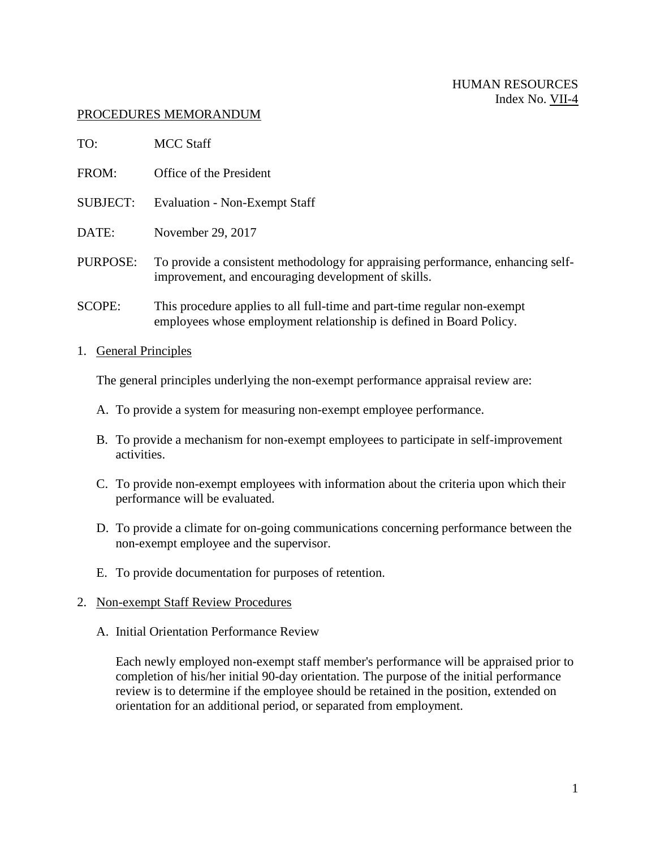## PROCEDURES MEMORANDUM

| TO:             | <b>MCC Staff</b>                                                                                                                                |
|-----------------|-------------------------------------------------------------------------------------------------------------------------------------------------|
| FROM:           | Office of the President                                                                                                                         |
| <b>SUBJECT:</b> | <b>Evaluation - Non-Exempt Staff</b>                                                                                                            |
| DATE:           | November 29, 2017                                                                                                                               |
| PURPOSE:        | To provide a consistent methodology for appraising performance, enhancing self-<br>improvement, and encouraging development of skills.          |
| <b>SCOPE:</b>   | This procedure applies to all full-time and part-time regular non-exempt<br>employees whose employment relationship is defined in Board Policy. |

1. General Principles

The general principles underlying the non-exempt performance appraisal review are:

- A. To provide a system for measuring non-exempt employee performance.
- B. To provide a mechanism for non-exempt employees to participate in self-improvement activities.
- C. To provide non-exempt employees with information about the criteria upon which their performance will be evaluated.
- D. To provide a climate for on-going communications concerning performance between the non-exempt employee and the supervisor.
- E. To provide documentation for purposes of retention.
- 2. Non-exempt Staff Review Procedures
	- A. Initial Orientation Performance Review

Each newly employed non-exempt staff member's performance will be appraised prior to completion of his/her initial 90-day orientation. The purpose of the initial performance review is to determine if the employee should be retained in the position, extended on orientation for an additional period, or separated from employment.